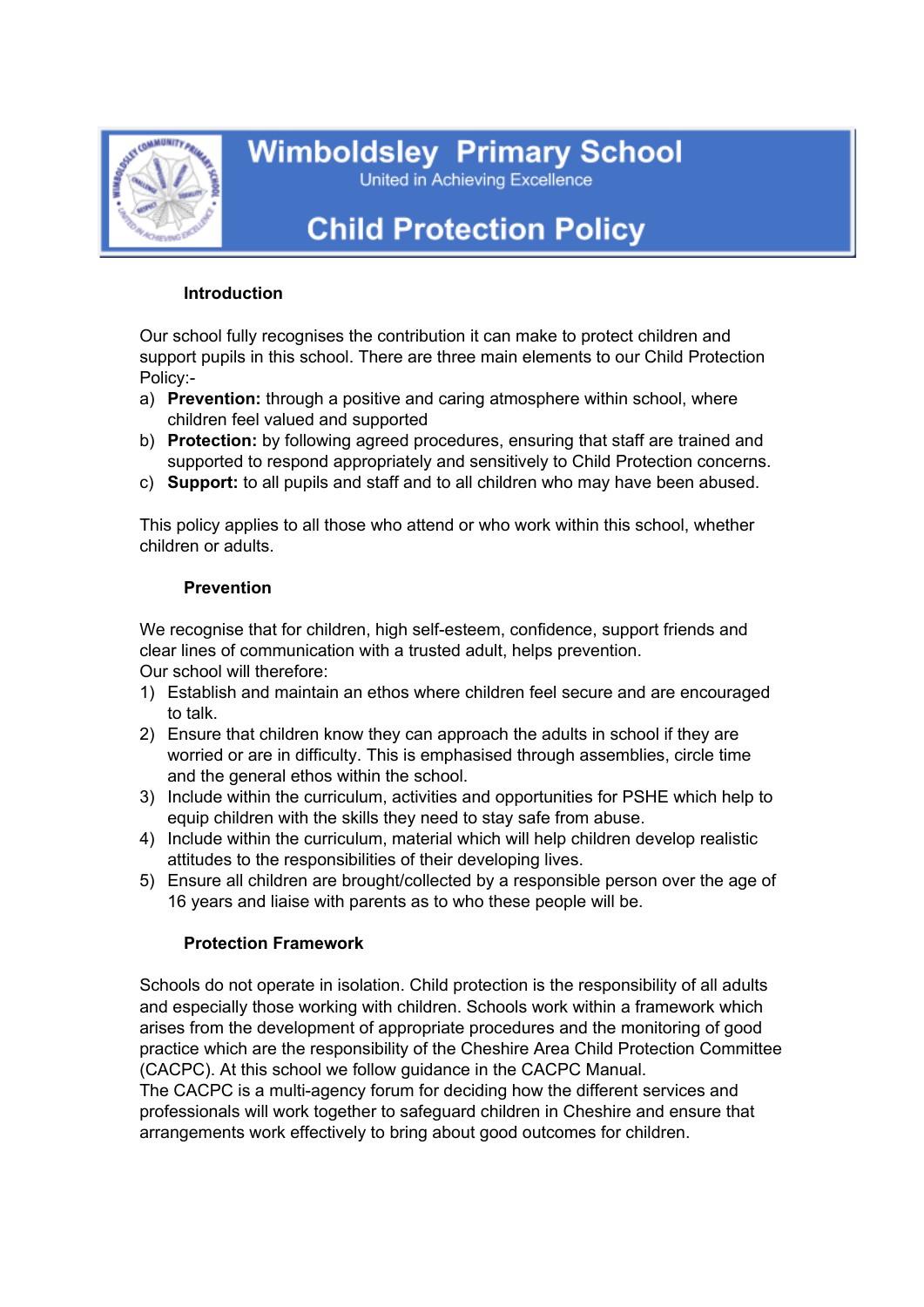

**Wimboldsley Primary School** 

United in Achieving Excellence

# **Child Protection Policy**

## **Introduction**

Our school fully recognises the contribution it can make to protect children and support pupils in this school. There are three main elements to our Child Protection Policy:-

- a) **Prevention:** through a positive and caring atmosphere within school, where children feel valued and supported
- b) **Protection:** by following agreed procedures, ensuring that staff are trained and supported to respond appropriately and sensitively to Child Protection concerns.
- c) **Support:** to all pupils and staff and to all children who may have been abused.

This policy applies to all those who attend or who work within this school, whether children or adults.

## **Prevention**

We recognise that for children, high self-esteem, confidence, support friends and clear lines of communication with a trusted adult, helps prevention. Our school will therefore:

- 1) Establish and maintain an ethos where children feel secure and are encouraged to talk.
- 2) Ensure that children know they can approach the adults in school if they are worried or are in difficulty. This is emphasised through assemblies, circle time and the general ethos within the school.
- 3) Include within the curriculum, activities and opportunities for PSHE which help to equip children with the skills they need to stay safe from abuse.
- 4) Include within the curriculum, material which will help children develop realistic attitudes to the responsibilities of their developing lives.
- 5) Ensure all children are brought/collected by a responsible person over the age of 16 years and liaise with parents as to who these people will be.

# **Protection Framework**

Schools do not operate in isolation. Child protection is the responsibility of all adults and especially those working with children. Schools work within a framework which arises from the development of appropriate procedures and the monitoring of good practice which are the responsibility of the Cheshire Area Child Protection Committee (CACPC). At this school we follow guidance in the CACPC Manual.

The CACPC is a multi-agency forum for deciding how the different services and professionals will work together to safeguard children in Cheshire and ensure that arrangements work effectively to bring about good outcomes for children.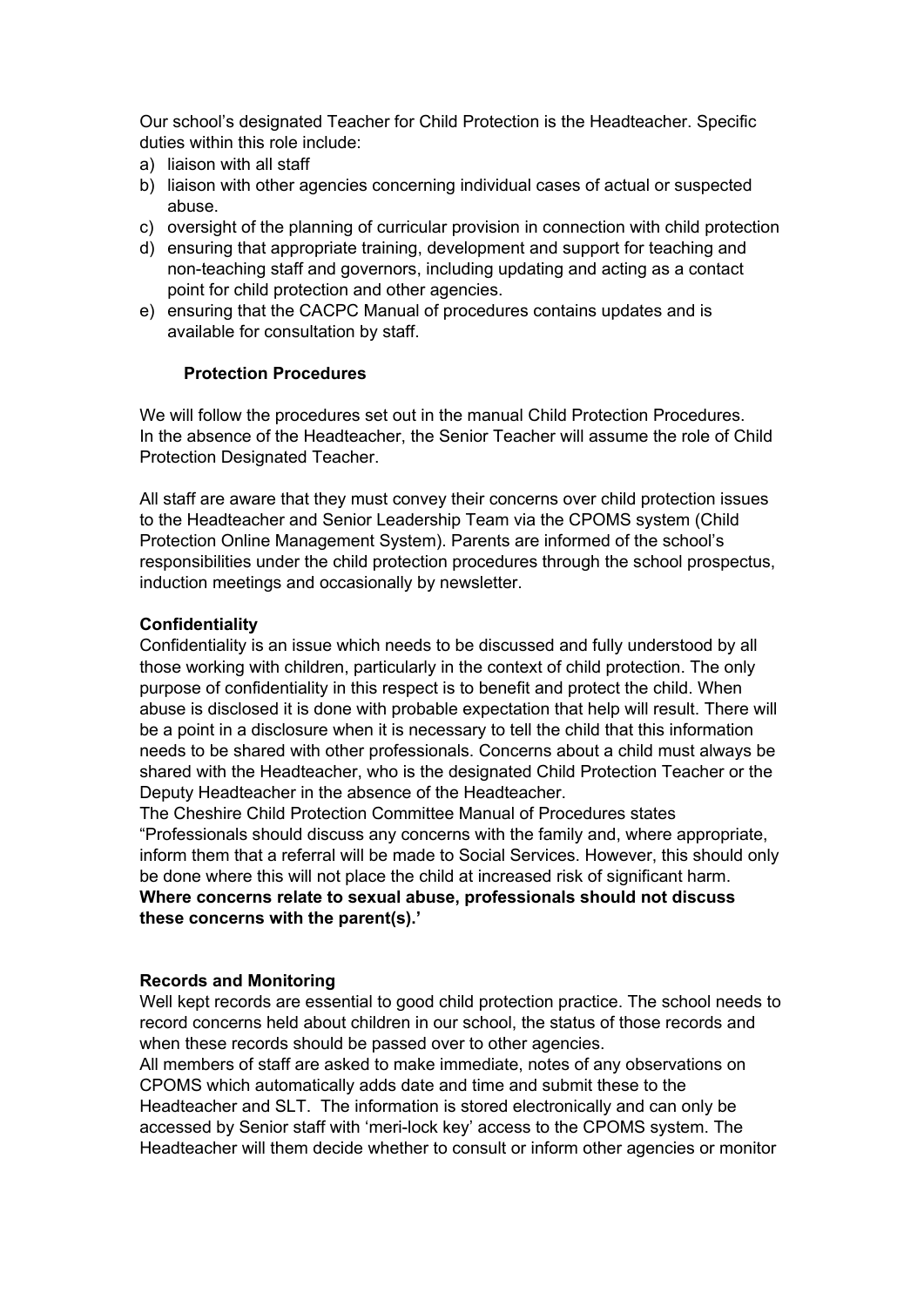Our school's designated Teacher for Child Protection is the Headteacher. Specific duties within this role include:

- a) liaison with all staff
- b) liaison with other agencies concerning individual cases of actual or suspected abuse.
- c) oversight of the planning of curricular provision in connection with child protection
- d) ensuring that appropriate training, development and support for teaching and non-teaching staff and governors, including updating and acting as a contact point for child protection and other agencies.
- e) ensuring that the CACPC Manual of procedures contains updates and is available for consultation by staff.

#### **Protection Procedures**

We will follow the procedures set out in the manual Child Protection Procedures. In the absence of the Headteacher, the Senior Teacher will assume the role of Child Protection Designated Teacher.

All staff are aware that they must convey their concerns over child protection issues to the Headteacher and Senior Leadership Team via the CPOMS system (Child Protection Online Management System). Parents are informed of the school's responsibilities under the child protection procedures through the school prospectus, induction meetings and occasionally by newsletter.

#### **Confidentiality**

Confidentiality is an issue which needs to be discussed and fully understood by all those working with children, particularly in the context of child protection. The only purpose of confidentiality in this respect is to benefit and protect the child. When abuse is disclosed it is done with probable expectation that help will result. There will be a point in a disclosure when it is necessary to tell the child that this information needs to be shared with other professionals. Concerns about a child must always be shared with the Headteacher, who is the designated Child Protection Teacher or the Deputy Headteacher in the absence of the Headteacher.

The Cheshire Child Protection Committee Manual of Procedures states "Professionals should discuss any concerns with the family and, where appropriate, inform them that a referral will be made to Social Services. However, this should only be done where this will not place the child at increased risk of significant harm. **Where concerns relate to sexual abuse, professionals should not discuss these concerns with the parent(s).'**

#### **Records and Monitoring**

Well kept records are essential to good child protection practice. The school needs to record concerns held about children in our school, the status of those records and when these records should be passed over to other agencies.

All members of staff are asked to make immediate, notes of any observations on CPOMS which automatically adds date and time and submit these to the Headteacher and SLT. The information is stored electronically and can only be accessed by Senior staff with 'meri-lock key' access to the CPOMS system. The Headteacher will them decide whether to consult or inform other agencies or monitor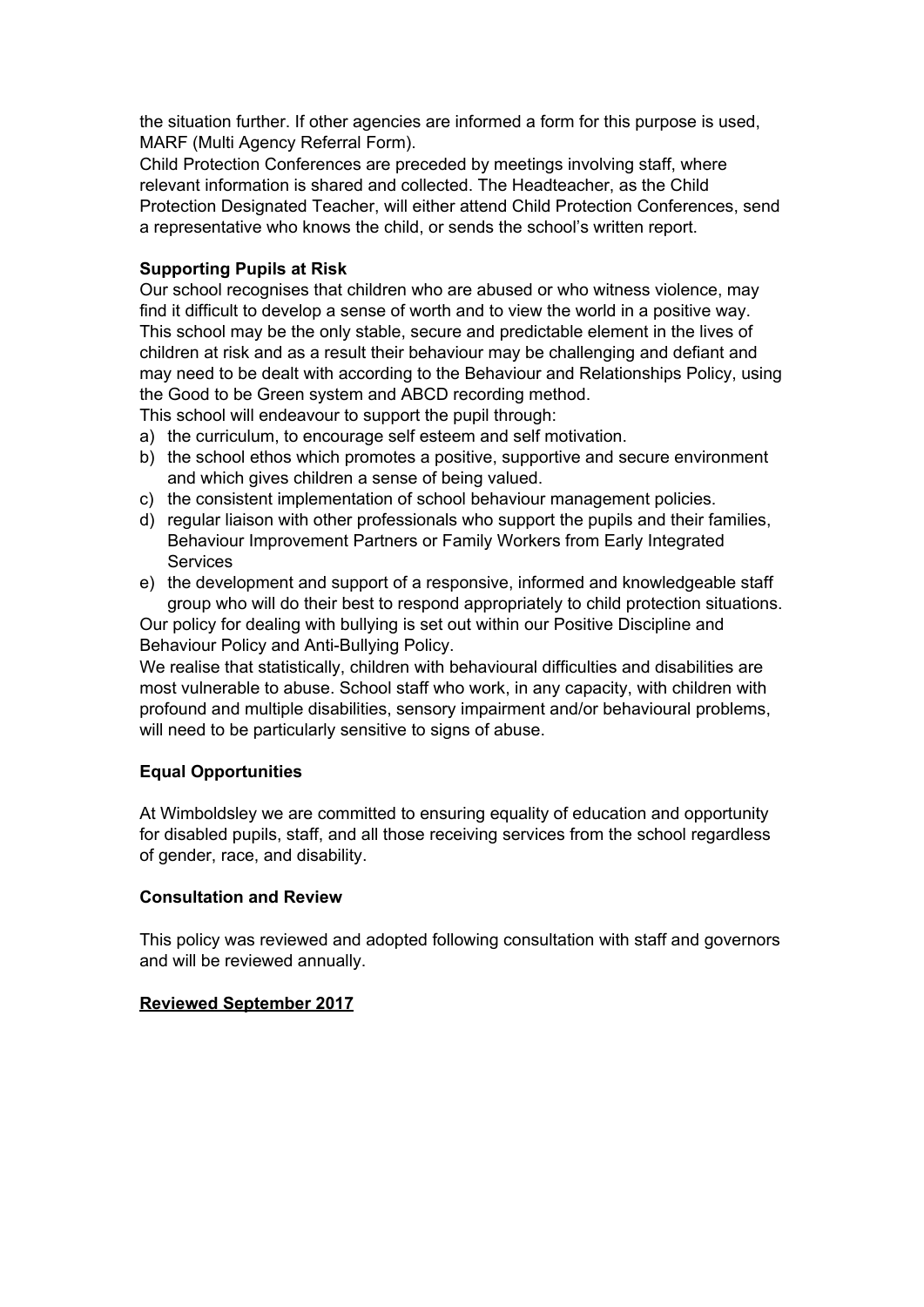the situation further. If other agencies are informed a form for this purpose is used, MARF (Multi Agency Referral Form).

Child Protection Conferences are preceded by meetings involving staff, where relevant information is shared and collected. The Headteacher, as the Child Protection Designated Teacher, will either attend Child Protection Conferences, send a representative who knows the child, or sends the school's written report.

## **Supporting Pupils at Risk**

Our school recognises that children who are abused or who witness violence, may find it difficult to develop a sense of worth and to view the world in a positive way. This school may be the only stable, secure and predictable element in the lives of children at risk and as a result their behaviour may be challenging and defiant and may need to be dealt with according to the Behaviour and Relationships Policy, using the Good to be Green system and ABCD recording method.

This school will endeavour to support the pupil through:

- a) the curriculum, to encourage self esteem and self motivation.
- b) the school ethos which promotes a positive, supportive and secure environment and which gives children a sense of being valued.
- c) the consistent implementation of school behaviour management policies.
- d) regular liaison with other professionals who support the pupils and their families, Behaviour Improvement Partners or Family Workers from Early Integrated **Services**
- e) the development and support of a responsive, informed and knowledgeable staff group who will do their best to respond appropriately to child protection situations.

Our policy for dealing with bullying is set out within our Positive Discipline and Behaviour Policy and Anti-Bullying Policy.

We realise that statistically, children with behavioural difficulties and disabilities are most vulnerable to abuse. School staff who work, in any capacity, with children with profound and multiple disabilities, sensory impairment and/or behavioural problems, will need to be particularly sensitive to signs of abuse.

# **Equal Opportunities**

At Wimboldsley we are committed to ensuring equality of education and opportunity for disabled pupils, staff, and all those receiving services from the school regardless of gender, race, and disability.

## **Consultation and Review**

This policy was reviewed and adopted following consultation with staff and governors and will be reviewed annually.

## **Reviewed September 2017**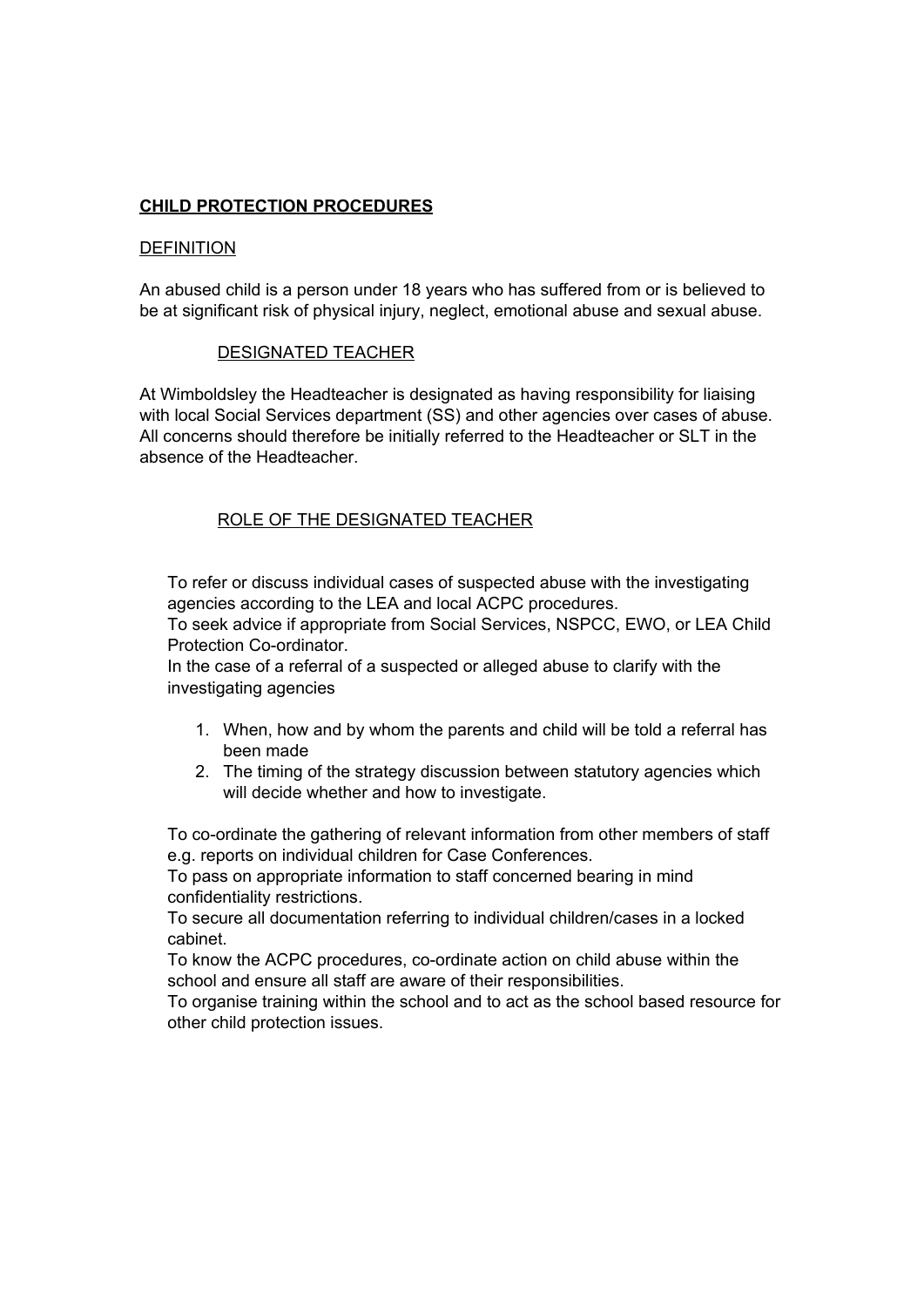## **CHILD PROTECTION PROCEDURES**

#### **DEFINITION**

An abused child is a person under 18 years who has suffered from or is believed to be at significant risk of physical injury, neglect, emotional abuse and sexual abuse.

#### DESIGNATED TEACHER

At Wimboldsley the Headteacher is designated as having responsibility for liaising with local Social Services department (SS) and other agencies over cases of abuse. All concerns should therefore be initially referred to the Headteacher or SLT in the absence of the Headteacher.

#### ROLE OF THE DESIGNATED TEACHER

To refer or discuss individual cases of suspected abuse with the investigating agencies according to the LEA and local ACPC procedures. To seek advice if appropriate from Social Services, NSPCC, EWO, or LEA Child Protection Co-ordinator.

In the case of a referral of a suspected or alleged abuse to clarify with the investigating agencies

- 1. When, how and by whom the parents and child will be told a referral has been made
- 2. The timing of the strategy discussion between statutory agencies which will decide whether and how to investigate.

To co-ordinate the gathering of relevant information from other members of staff e.g. reports on individual children for Case Conferences.

To pass on appropriate information to staff concerned bearing in mind confidentiality restrictions.

To secure all documentation referring to individual children/cases in a locked cabinet.

To know the ACPC procedures, co-ordinate action on child abuse within the school and ensure all staff are aware of their responsibilities.

To organise training within the school and to act as the school based resource for other child protection issues.